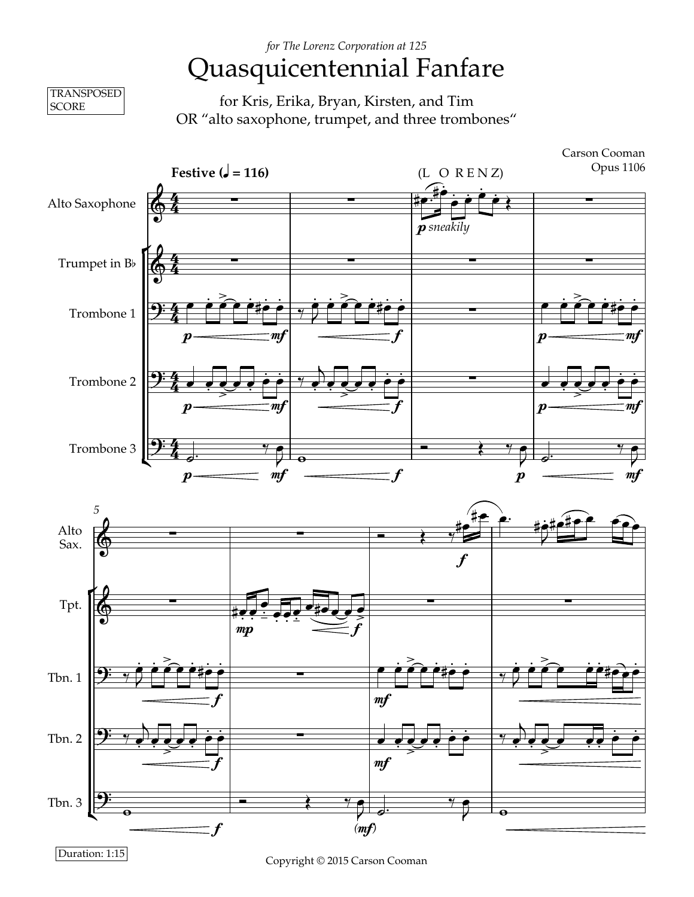# Quasquicentennial Fanfare



for Kris, Erika, Bryan, Kirsten, and Tim OR "alto saxophone, trumpet, and three trombones"



Duration: 1:15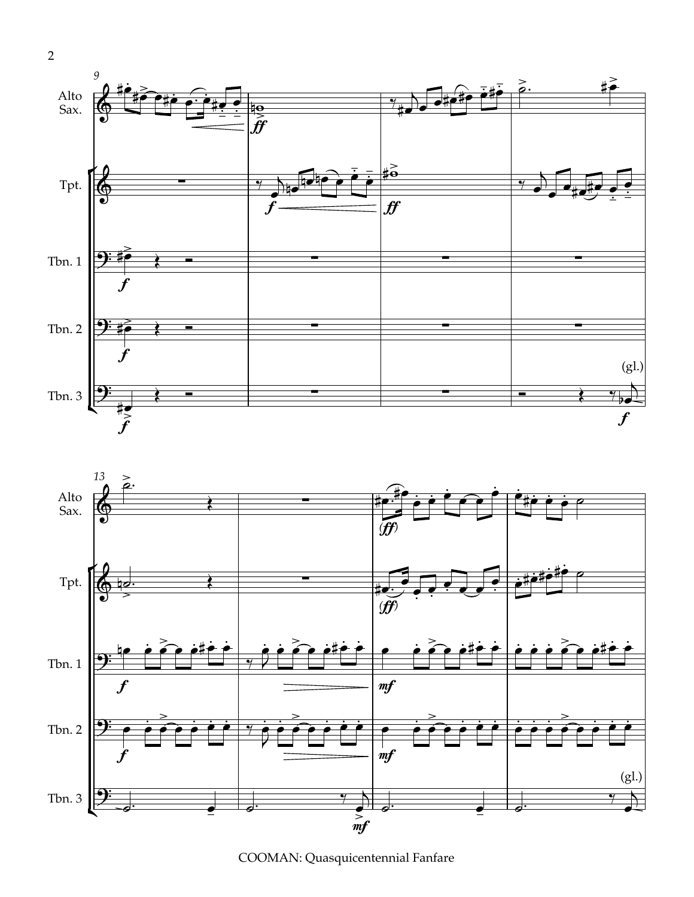



COOMAN: Quasquicentennial Fanfare

2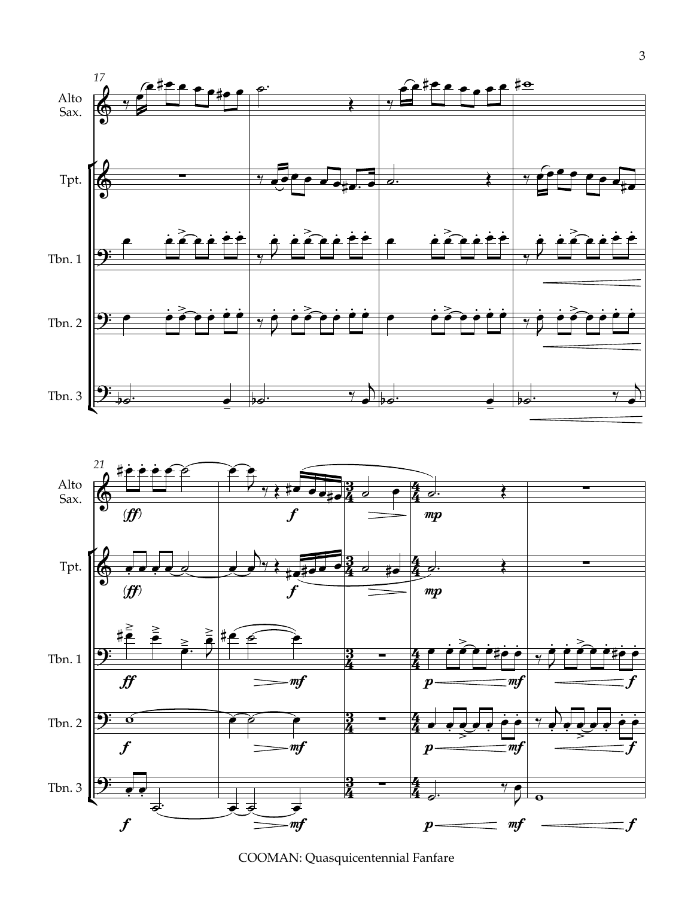



COOMAN: Quasquicentennial Fanfare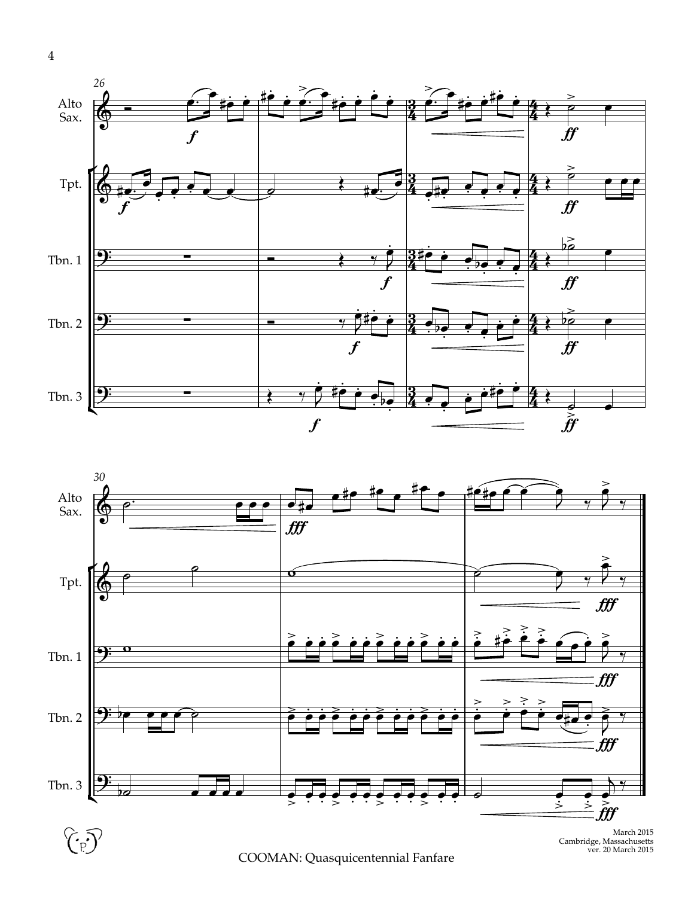



March 2015 Cambridge, Massachusetts ver. 20 March 2015

COOMAN: Quasquicentennial Fanfare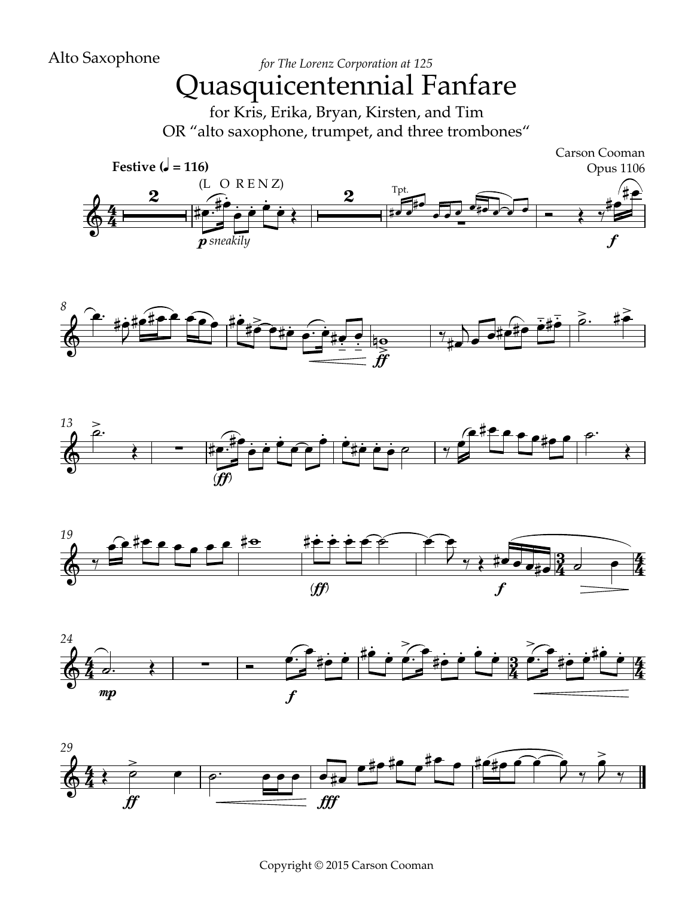#### Alto Saxophone

### *for The Lorenz Corporation at 125* Quasquicentennial Fanfare

for Kris, Erika, Bryan, Kirsten, and Tim OR "alto saxophone, trumpet, and three trombones"











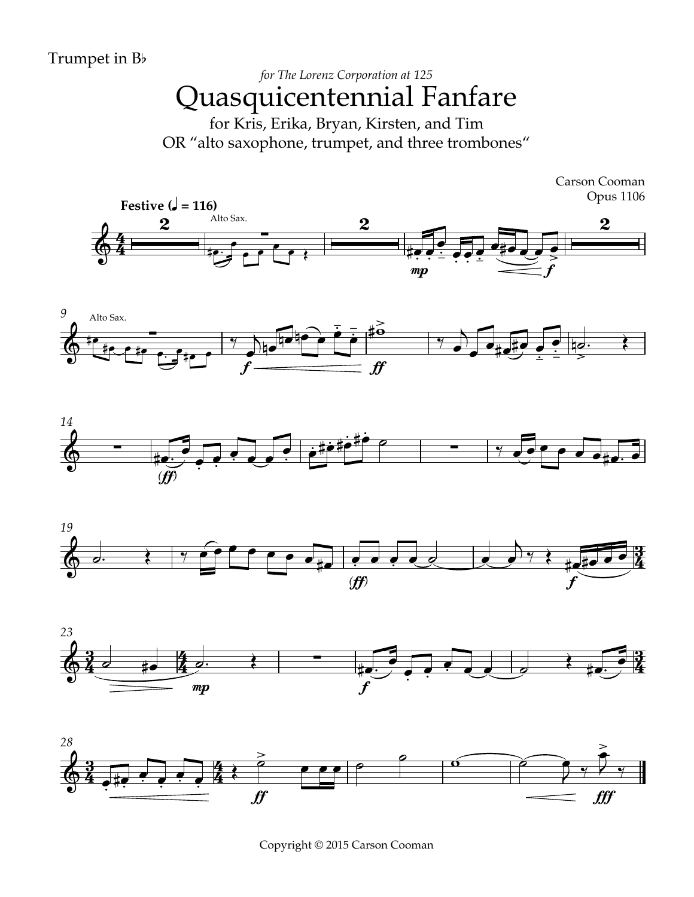#### Trumpet in Bb

### *for The Lorenz Corporation at 125* Quasquicentennial Fanfare

for Kris, Erika, Bryan, Kirsten, and Tim OR "alto saxophone, trumpet, and three trombones"











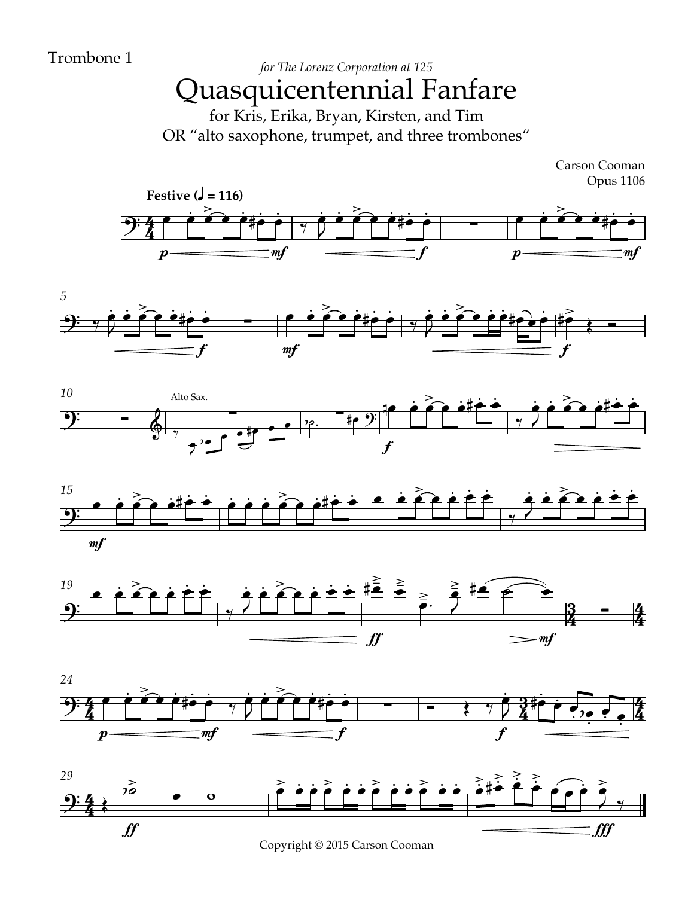# *for The Lorenz Corporation at 125* Quasquicentennial Fanfare

for Kris, Erika, Bryan, Kirsten, and Tim OR "alto saxophone, trumpet, and three trombones"

Carson Cooman Opus 1106













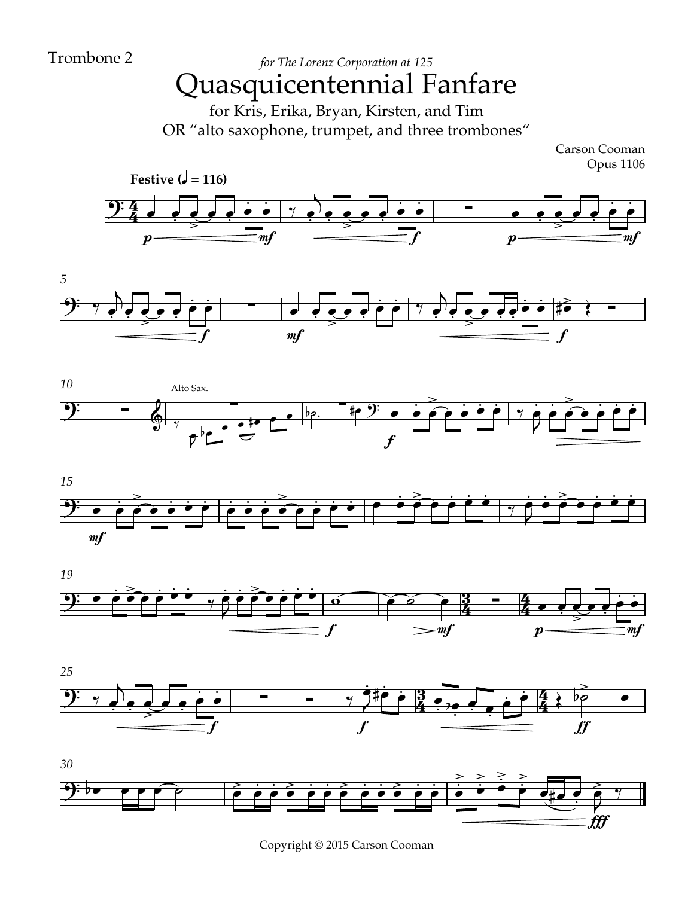### *for The Lorenz Corporation at 125* Quasquicentennial Fanfare

for Kris, Erika, Bryan, Kirsten, and Tim OR "alto saxophone, trumpet, and three trombones"

> Carson Cooman Opus 1106